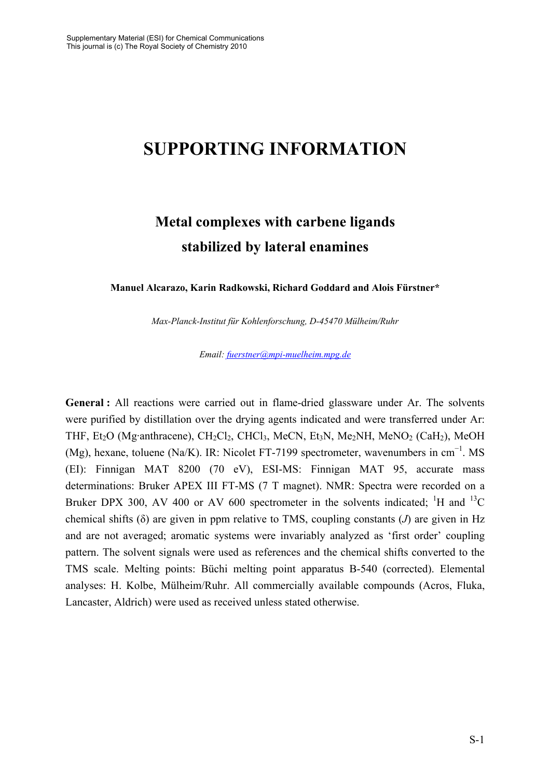# **SUPPORTING INFORMATION**

# **Metal complexes with carbene ligands stabilized by lateral enamines**

**Manuel Alcarazo, Karin Radkowski, Richard Goddard and Alois Fürstner\*** 

*Max-Planck-Institut für Kohlenforschung, D-45470 Mülheim/Ruhr* 

*Email: fuerstner@mpi-muelheim.mpg.de*

**General :** All reactions were carried out in flame-dried glassware under Ar. The solvents were purified by distillation over the drying agents indicated and were transferred under Ar: THF, Et<sub>2</sub>O (Mg·anthracene), CH<sub>2</sub>Cl<sub>2</sub>, CHCl<sub>3</sub>, MeCN, Et<sub>3</sub>N, Me<sub>2</sub>NH, MeNO<sub>2</sub> (CaH<sub>2</sub>), MeOH (Mg), hexane, toluene (Na/K). IR: Nicolet FT-7199 spectrometer, wavenumbers in cm<sup>-1</sup>. MS (EI): Finnigan MAT 8200 (70 eV), ESI-MS: Finnigan MAT 95, accurate mass determinations: Bruker APEX III FT-MS (7 T magnet). NMR: Spectra were recorded on a Bruker DPX 300, AV 400 or AV 600 spectrometer in the solvents indicated; <sup>1</sup>H and <sup>13</sup>C chemical shifts (δ) are given in ppm relative to TMS, coupling constants (*J*) are given in Hz and are not averaged; aromatic systems were invariably analyzed as 'first order' coupling pattern. The solvent signals were used as references and the chemical shifts converted to the TMS scale. Melting points: Büchi melting point apparatus B-540 (corrected). Elemental analyses: H. Kolbe, Mülheim/Ruhr. All commercially available compounds (Acros, Fluka, Lancaster, Aldrich) were used as received unless stated otherwise.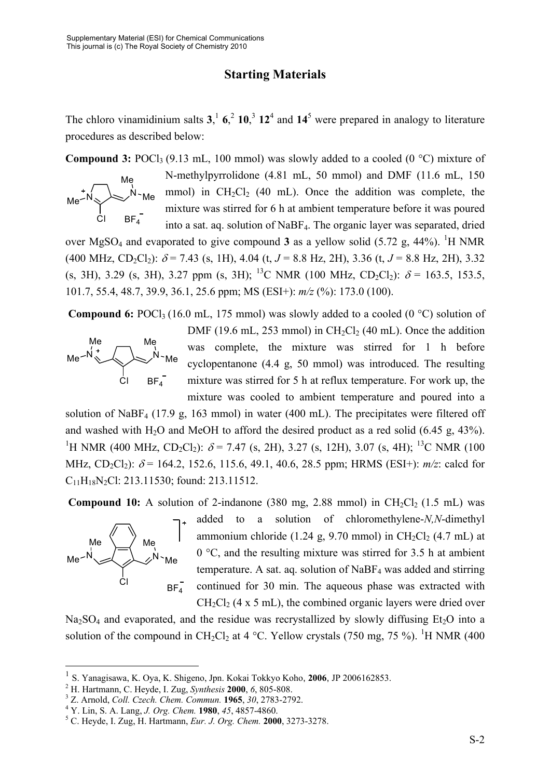## **Starting Materials**

The chloro vinamidinium salts  $3$ ,  $\frac{1}{2}$ ,  $6$ ,  $\frac{2}{2}$ ,  $10$ ,  $\frac{3}{2}$ ,  $12$ , and  $14$ <sup>5</sup> were prepared in analogy to literature procedures as described below:

**Compound 3:** POCl<sub>3</sub> (9.13 mL, 100 mmol) was slowly added to a cooled (0  $^{\circ}$ C) mixture of



N-methylpyrrolidone (4.81 mL, 50 mmol) and DMF (11.6 mL, 150 mmol) in  $CH_2Cl_2$  (40 mL). Once the addition was complete, the mixture was stirred for 6 h at ambient temperature before it was poured into a sat. aq. solution of NaBF4. The organic layer was separated, dried

over MgSO<sub>4</sub> and evaporated to give compound **3** as a yellow solid  $(5.72 \text{ g}, 44\%)$ . <sup>1</sup>H NMR  $(400 \text{ MHz}, \text{CD}_2\text{Cl}_2)$ :  $\delta$  = 7.43 (s, 1H), 4.04 (t, *J* = 8.8 Hz, 2H), 3.36 (t, *J* = 8.8 Hz, 2H), 3.32 (s, 3H), 3.29 (s, 3H), 3.27 ppm (s, 3H); <sup>13</sup>C NMR (100 MHz, CD<sub>2</sub>Cl<sub>2</sub>):  $\delta$  = 163.5, 153.5, 101.7, 55.4, 48.7, 39.9, 36.1, 25.6 ppm; MS (ESI+): *m/z* (%): 173.0 (100).

**Compound 6:** POCl<sub>3</sub> (16.0 mL, 175 mmol) was slowly added to a cooled (0 °C) solution of



DMF (19.6 mL, 253 mmol) in CH<sub>2</sub>Cl<sub>2</sub> (40 mL). Once the addition was complete, the mixture was stirred for 1 h before cyclopentanone (4.4 g, 50 mmol) was introduced. The resulting mixture was stirred for 5 h at reflux temperature. For work up, the mixture was cooled to ambient temperature and poured into a

solution of NaBF4 (17.9 g, 163 mmol) in water (400 mL). The precipitates were filtered off and washed with H<sub>2</sub>O and MeOH to afford the desired product as a red solid  $(6.45 \text{ g}, 43\%)$ . <sup>1</sup>H NMR (400 MHz, CD<sub>2</sub>Cl<sub>2</sub>):  $\delta$  = 7.47 (s, 2H), 3.27 (s, 12H), 3.07 (s, 4H); <sup>13</sup>C NMR (100 MHz, CD<sub>2</sub>Cl<sub>2</sub>):  $\delta$  = 164.2, 152.6, 115.6, 49.1, 40.6, 28.5 ppm; HRMS (ESI+):  $m/z$ : calcd for C11H18N2Cl: 213.11530; found: 213.11512.

**Compound 10:** A solution of 2-indanone  $(380 \text{ mg}, 2.88 \text{ mmol})$  in CH<sub>2</sub>Cl<sub>2</sub>  $(1.5 \text{ mL})$  was



1

added to a solution of chloromethylene-*N,N*-dimethyl ammonium chloride (1.24 g, 9.70 mmol) in  $CH_2Cl_2$  (4.7 mL) at 0 °C, and the resulting mixture was stirred for 3.5 h at ambient temperature. A sat. aq. solution of  $NaBF_4$  was added and stirring continued for 30 min. The aqueous phase was extracted with  $CH<sub>2</sub>Cl<sub>2</sub>$  (4 x 5 mL), the combined organic layers were dried over

 $Na<sub>2</sub>SO<sub>4</sub>$  and evaporated, and the residue was recrystallized by slowly diffusing Et<sub>2</sub>O into a solution of the compound in CH<sub>2</sub>Cl<sub>2</sub> at 4 °C. Yellow crystals (750 mg, 75 %). <sup>1</sup>H NMR (400

<sup>1</sup> S. Yanagisawa, K. Oya, K. Shigeno, Jpn. Kokai Tokkyo Koho, **2006**, JP 2006162853. 2

H. Hartmann, C. Heyde, I. Zug, *Synthesis* **<sup>2000</sup>**, *6*, 805-808. 3

Z. Arnold, *Coll. Czech. Chem. Commun.* **<sup>1965</sup>**, *30*, 2783-2792. 4

Y. Lin, S. A. Lang, *J. Org. Chem.* **1980**, *45*, 4857-4860. 5

C. Heyde, I. Zug, H. Hartmann, *Eur. J. Org. Chem.* **2000**, 3273-3278.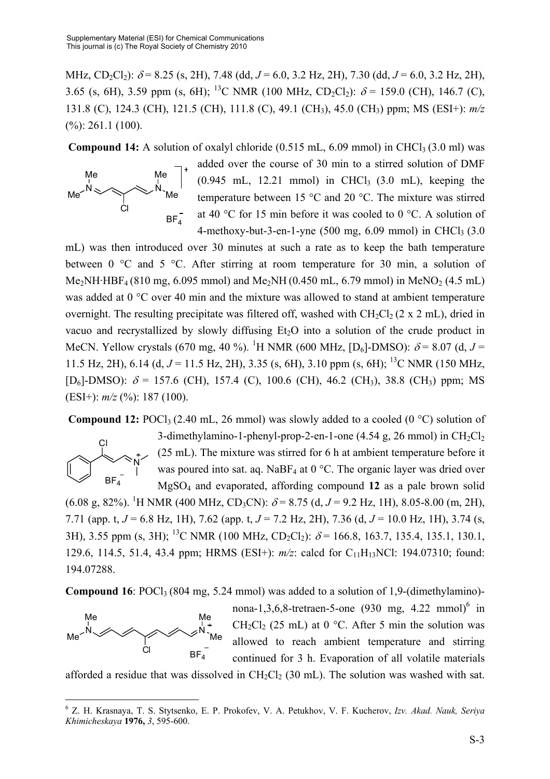MHz, CD<sub>2</sub>Cl<sub>2</sub>):  $\delta$  = 8.25 (s, 2H), 7.48 (dd, *J* = 6.0, 3.2 Hz, 2H), 7.30 (dd, *J* = 6.0, 3.2 Hz, 2H), 3.65 (s, 6H), 3.59 ppm (s, 6H); <sup>13</sup>C NMR (100 MHz, CD<sub>2</sub>Cl<sub>2</sub>):  $\delta$  = 159.0 (CH), 146.7 (C), 131.8 (C), 124.3 (CH), 121.5 (CH), 111.8 (C), 49.1 (CH3), 45.0 (CH3) ppm; MS (ESI+): *m/z*  $(%): 261.1 (100).$ 

**Compound 14:** A solution of oxalyl chloride  $(0.515 \text{ mL}, 6.09 \text{ mmol})$  in CHCl<sub>3</sub> $(3.0 \text{ ml})$  was



added over the course of 30 min to a stirred solution of DMF  $(0.945 \text{ mL}, 12.21 \text{ mmol})$  in CHCl<sub>3</sub>  $(3.0 \text{ mL})$ , keeping the temperature between 15 °C and 20 °C. The mixture was stirred at 40 °C for 15 min before it was cooled to 0 °C. A solution of 4-methoxy-but-3-en-1-yne  $(500 \text{ mg}, 6.09 \text{ mmol})$  in CHCl<sub>3</sub> $(3.0$ 

mL) was then introduced over 30 minutes at such a rate as to keep the bath temperature between 0 °C and 5 °C. After stirring at room temperature for 30 min, a solution of Me<sub>2</sub>NH·HBF<sub>4</sub> (810 mg, 6.095 mmol) and Me<sub>2</sub>NH (0.450 mL, 6.79 mmol) in MeNO<sub>2</sub> (4.5 mL) was added at 0 °C over 40 min and the mixture was allowed to stand at ambient temperature overnight. The resulting precipitate was filtered off, washed with  $CH_2Cl_2$  (2 x 2 mL), dried in vacuo and recrystallized by slowly diffusing  $Et<sub>2</sub>O$  into a solution of the crude product in MeCN. Yellow crystals (670 mg, 40 %). <sup>1</sup>H NMR (600 MHz, [D<sub>6</sub>]-DMSO):  $\delta$  = 8.07 (d, J = 11.5 Hz, 2H), 6.14 (d,  $J = 11.5$  Hz, 2H), 3.35 (s, 6H), 3.10 ppm (s, 6H); <sup>13</sup>C NMR (150 MHz,  $[D_6]$ -DMSO):  $\delta$  = 157.6 (CH), 157.4 (C), 100.6 (CH), 46.2 (CH<sub>3</sub>), 38.8 (CH<sub>3</sub>) ppm; MS (ESI+): *m/z* (%): 187 (100).

**Compound 12:** POCl<sub>3</sub> (2.40 mL, 26 mmol) was slowly added to a cooled (0  $^{\circ}$ C) solution of



1

3-dimethylamino-1-phenyl-prop-2-en-1-one  $(4.54 \text{ g}, 26 \text{ mmol})$  in  $\text{CH}_2\text{Cl}_2$ (25 mL). The mixture was stirred for 6 h at ambient temperature before it was poured into sat. aq. NaBF<sub>4</sub> at 0  $^{\circ}$ C. The organic layer was dried over MgSO4 and evaporated, affording compound **12** as a pale brown solid

 $(6.08 \text{ g}, 82\%)$ . <sup>1</sup>H NMR (400 MHz, CD<sub>3</sub>CN):  $\delta$  = 8.75 (d, *J* = 9.2 Hz, 1H), 8.05-8.00 (m, 2H), 7.71 (app. t, *J* = 6.8 Hz, 1H), 7.62 (app. t, *J* = 7.2 Hz, 2H), 7.36 (d, *J* = 10.0 Hz, 1H), 3.74 (s, 3H), 3.55 ppm (s, 3H); <sup>13</sup>C NMR (100 MHz, CD<sub>2</sub>Cl<sub>2</sub>):  $\delta$  = 166.8, 163.7, 135.4, 135.1, 130.1, 129.6, 114.5, 51.4, 43.4 ppm; HRMS (ESI+): *m/z*: calcd for C11H13NCl: 194.07310; found: 194.07288.

**Compound 16**: POCl<sub>3</sub> (804 mg, 5.24 mmol) was added to a solution of 1,9-(dimethylamino)-



nona-1,3,6,8-tretraen-5-one  $(930 \text{ mg}, 4.22 \text{ mmol})^6$  in CH<sub>2</sub>Cl<sub>2</sub> (25 mL) at 0  $^{\circ}$ C. After 5 min the solution was allowed to reach ambient temperature and stirring continued for 3 h. Evaporation of all volatile materials

afforded a residue that was dissolved in CH<sub>2</sub>Cl<sub>2</sub> (30 mL). The solution was washed with sat.

<sup>6</sup> Z. H. Krasnaya, T. S. Stytsenko, E. P. Prokofev, V. A. Petukhov, V. F. Kucherov, *Izv. Akad. Nauk, Seriya Khimicheskaya* **1976,** *3*, 595-600.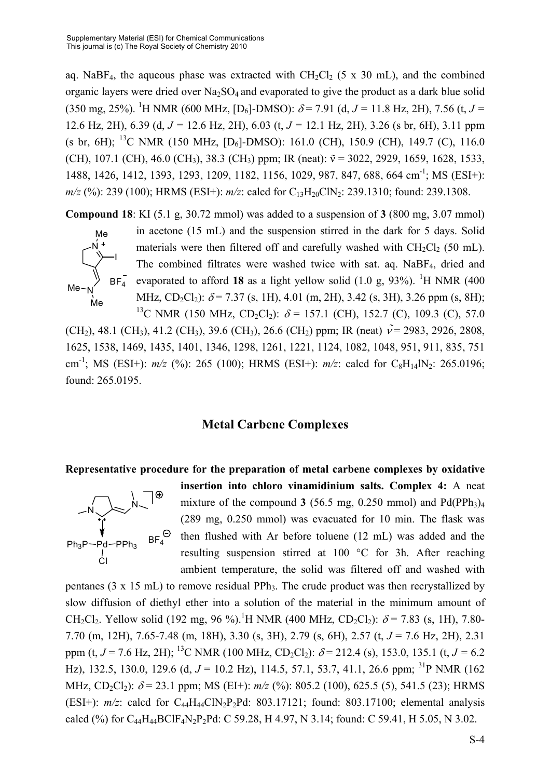aq. NaBF<sub>4</sub>, the aqueous phase was extracted with  $CH_2Cl_2$  (5 x 30 mL), and the combined organic layers were dried over  $Na<sub>2</sub>SO<sub>4</sub>$  and evaporated to give the product as a dark blue solid  $(350 \text{ mg}, 25\%)$ . <sup>1</sup>H NMR (600 MHz, [D<sub>6</sub>]-DMSO):  $\delta$  = 7.91 (d, *J* = 11.8 Hz, 2H), 7.56 (t, *J* = 12.6 Hz, 2H), 6.39 (d, *J =* 12.6 Hz, 2H), 6.03 (t, *J =* 12.1 Hz, 2H), 3.26 (s br, 6H), 3.11 ppm (s br, 6H); <sup>13</sup>C NMR (150 MHz,  $[D_6]$ -DMSO): 161.0 (CH), 150.9 (CH), 149.7 (C), 116.0 (CH), 107.1 (CH), 46.0 (CH<sub>3</sub>), 38.3 (CH<sub>3</sub>) ppm; IR (neat):  $\tilde{v} = 3022, 2929, 1659, 1628, 1533,$ 1488, 1426, 1412, 1393, 1293, 1209, 1182, 1156, 1029, 987, 847, 688, 664 cm-1; MS (ESI+): *m/z* (%): 239 (100); HRMS (ESI+):  $m/z$ : calcd for C<sub>13</sub>H<sub>20</sub>ClN<sub>2</sub>: 239.1310; found: 239.1308.

**Compound 18**: KI (5.1 g, 30.72 mmol) was added to a suspension of **3** (800 mg, 3.07 mmol)



in acetone (15 mL) and the suspension stirred in the dark for 5 days. Solid materials were then filtered off and carefully washed with  $CH_2Cl_2$  (50 mL). The combined filtrates were washed twice with sat. aq. NaBF<sub>4</sub>, dried and evaporated to afford 18 as a light yellow solid  $(1.0 \text{ g}, 93\%)$ . <sup>1</sup>H NMR  $(400 \text{ g})$ MHz, CD<sub>2</sub>Cl<sub>2</sub>):  $\delta$  = 7.37 (s, 1H), 4.01 (m, 2H), 3.42 (s, 3H), 3.26 ppm (s, 8H); <sup>13</sup>C NMR (150 MHz, CD<sub>2</sub>Cl<sub>2</sub>):  $\delta$  = 157.1 (CH), 152.7 (C), 109.3 (C), 57.0

(CH<sub>2</sub>), 48.1 (CH<sub>3</sub>), 41.2 (CH<sub>3</sub>), 39.6 (CH<sub>3</sub>), 26.6 (CH<sub>2</sub>) ppm; IR (neat)  $\tilde{v}$  = 2983, 2926, 2808, 1625, 1538, 1469, 1435, 1401, 1346, 1298, 1261, 1221, 1124, 1082, 1048, 951, 911, 835, 751 cm<sup>-1</sup>; MS (ESI+):  $m/z$  (%): 265 (100); HRMS (ESI+):  $m/z$ : calcd for C<sub>8</sub>H<sub>14</sub>lN<sub>2</sub>: 265.0196; found: 265.0195.

## **Metal Carbene Complexes**

#### **Representative procedure for the preparation of metal carbene complexes by oxidative**



**insertion into chloro vinamidinium salts. Complex 4:** A neat mixture of the compound **3** (56.5 mg, 0.250 mmol) and  $Pd(PPh<sub>3</sub>)<sub>4</sub>$ (289 mg, 0.250 mmol) was evacuated for 10 min. The flask was then flushed with Ar before toluene (12 mL) was added and the resulting suspension stirred at 100 °C for 3h. After reaching ambient temperature, the solid was filtered off and washed with

pentanes (3 x 15 mL) to remove residual PPh<sub>3</sub>. The crude product was then recrystallized by slow diffusion of diethyl ether into a solution of the material in the minimum amount of CH<sub>2</sub>Cl<sub>2</sub>. Yellow solid (192 mg, 96 %).<sup>1</sup>H NMR (400 MHz, CD<sub>2</sub>Cl<sub>2</sub>):  $\delta$  = 7.83 (s, 1H), 7.80-7.70 (m, 12H), 7.65-7.48 (m, 18H), 3.30 (s, 3H), 2.79 (s, 6H), 2.57 (t, *J* = 7.6 Hz, 2H), 2.31 ppm (t,  $J = 7.6$  Hz, 2H); <sup>13</sup>C NMR (100 MHz, CD<sub>2</sub>Cl<sub>2</sub>):  $\delta = 212.4$  (s), 153.0, 135.1 (t,  $J = 6.2$ Hz), 132.5, 130.0, 129.6 (d,  $J = 10.2$  Hz), 114.5, 57.1, 53.7, 41.1, 26.6 ppm; <sup>31</sup>P NMR (162) MHz, CD<sub>2</sub>Cl<sub>2</sub>):  $\delta$  = 23.1 ppm; MS (EI+):  $m/z$  (%): 805.2 (100), 625.5 (5), 541.5 (23); HRMS (ESI+):  $m/z$ : calcd for  $C_{44}H_{44}CIN_{2}P_{2}Pd$ : 803.17121; found: 803.17100; elemental analysis calcd (%) for C<sub>44</sub>H<sub>44</sub>BClF<sub>4</sub>N<sub>2</sub>P<sub>2</sub>Pd: C 59.28, H 4.97, N 3.14; found: C 59.41, H 5.05, N 3.02.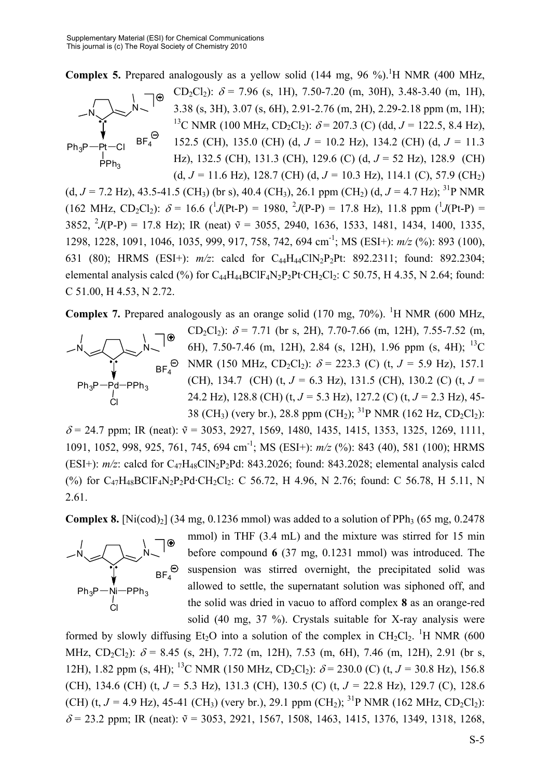**Complex 5.** Prepared analogously as a yellow solid  $(144 \text{ mg}, 96 \text{ %})$ .<sup>1</sup>H NMR  $(400 \text{ MHz},$ 



CD<sub>2</sub>Cl<sub>2</sub>):  $\delta$  = 7.96 (s, 1H), 7.50-7.20 (m, 30H), 3.48-3.40 (m, 1H), 3.38 (s, 3H), 3.07 (s, 6H), 2.91-2.76 (m, 2H), 2.29-2.18 ppm (m, 1H); <sup>13</sup>C NMR (100 MHz, CD<sub>2</sub>Cl<sub>2</sub>):  $\delta$  = 207.3 (C) (dd, J = 122.5, 8.4 Hz), 152.5 (CH), 135.0 (CH) (d, *J =* 10.2 Hz), 134.2 (CH) (d, *J =* 11.3 Hz), 132.5 (CH), 131.3 (CH), 129.6 (C) (d, *J* = 52 Hz), 128.9 (CH) (d,  $J = 11.6$  Hz), 128.7 (CH) (d,  $J = 10.3$  Hz), 114.1 (C), 57.9 (CH<sub>2</sub>)

(d,  $J = 7.2$  Hz), 43.5-41.5 (CH<sub>3</sub>) (br s), 40.4 (CH<sub>3</sub>), 26.1 ppm (CH<sub>2</sub>) (d,  $J = 4.7$  Hz); <sup>31</sup>P NMR  $(162 \text{ MHz}, \text{CD}_2\text{Cl}_2): \delta = 16.6 \frac{1}{J(\text{Pt-P})} = 1980, \frac{2}{J(\text{P-P})} = 17.8 \text{ Hz}$ , 11.8 ppm  $(\frac{1}{J(\text{Pt-P})}) =$ 3852, <sup>2</sup> $J$ (P-P) = 17.8 Hz); IR (neat)  $\tilde{v}$  = 3055, 2940, 1636, 1533, 1481, 1434, 1400, 1335, 1298, 1228, 1091, 1046, 1035, 999, 917, 758, 742, 694 cm-1; MS (ESI+): *m/z* (%): 893 (100), 631 (80); HRMS (ESI+):  $m/z$ : calcd for C<sub>44</sub>H<sub>44</sub>ClN<sub>2</sub>P<sub>2</sub>Pt: 892.2311; found: 892.2304; elemental analysis calcd  $(\%)$  for C<sub>44</sub>H<sub>44</sub>BClF<sub>4</sub>N<sub>2</sub>P<sub>2</sub>Pt·CH<sub>2</sub>Cl<sub>2</sub>: C 50.75, H 4.35, N 2.64; found: C 51.00, H 4.53, N 2.72.

**Complex 7.** Prepared analogously as an orange solid  $(170 \text{ mg}, 70\%)$ . <sup>1</sup>H NMR  $(600 \text{ MHz},$ 



CD<sub>2</sub>Cl<sub>2</sub>):  $\delta$  = 7.71 (br s, 2H), 7.70-7.66 (m, 12H), 7.55-7.52 (m, 6H), 7.50-7.46 (m, 12H), 2.84 (s, 12H), 1.96 ppm (s, 4H); 13C  $BF_4^{\Theta}$  NMR (150 MHz, CD<sub>2</sub>Cl<sub>2</sub>):  $\delta$  = 223.3 (C) (t, *J* = 5.9 Hz), 157.1 (CH), 134.7 (CH) (t,  $J = 6.3$  Hz), 131.5 (CH), 130.2 (C) (t,  $J =$ 24.2 Hz), 128.8 (CH) (t, *J =* 5.3 Hz), 127.2 (C) (t, *J =* 2.3 Hz), 45- 38 (CH<sub>3</sub>) (very br.), 28.8 ppm (CH<sub>2</sub>); <sup>31</sup>P NMR (162 Hz, CD<sub>2</sub>Cl<sub>2</sub>):

 $\delta$  = 24.7 ppm; IR (neat):  $\tilde{v}$  = 3053, 2927, 1569, 1480, 1435, 1415, 1353, 1325, 1269, 1111, 1091, 1052, 998, 925, 761, 745, 694 cm-1; MS (ESI+): *m/z* (%): 843 (40), 581 (100); HRMS (ESI+):  $m/z$ : calcd for  $C_{47}H_{48}C\cdot N_2P_2Pd$ : 843.2026; found: 843.2028; elemental analysis calcd (%) for C<sub>47</sub>H<sub>48</sub>BClF<sub>4</sub>N<sub>2</sub>P<sub>2</sub>Pd·CH<sub>2</sub>Cl<sub>2</sub>: C 56.72, H 4.96, N 2.76; found: C 56.78, H 5.11, N 2.61.

**Complex 8.**  $[Ni(cod)_2]$  (34 mg, 0.1236 mmol) was added to a solution of PPh<sub>3</sub> (65 mg, 0.2478)



mmol) in THF (3.4 mL) and the mixture was stirred for 15 min before compound **6** (37 mg, 0.1231 mmol) was introduced. The suspension was stirred overnight, the precipitated solid was allowed to settle, the supernatant solution was siphoned off, and the solid was dried in vacuo to afford complex **8** as an orange-red solid (40 mg, 37 %). Crystals suitable for X-ray analysis were

formed by slowly diffusing  $Et_2O$  into a solution of the complex in  $CH_2Cl_2$ . <sup>1</sup>H NMR (600 MHz, CD<sub>2</sub>Cl<sub>2</sub>):  $\delta$  = 8.45 (s, 2H), 7.72 (m, 12H), 7.53 (m, 6H), 7.46 (m, 12H), 2.91 (br s, 12H), 1.82 ppm (s, 4H); <sup>13</sup>C NMR (150 MHz, CD<sub>2</sub>Cl<sub>2</sub>):  $\delta$  = 230.0 (C) (t, *J* = 30.8 Hz), 156.8 (CH), 134.6 (CH) (t, *J =* 5.3 Hz), 131.3 (CH), 130.5 (C) (t, *J =* 22.8 Hz), 129.7 (C), 128.6 (CH) (t,  $J = 4.9$  Hz), 45-41 (CH<sub>3</sub>) (very br.), 29.1 ppm (CH<sub>2</sub>); <sup>31</sup>P NMR (162 MHz, CD<sub>2</sub>Cl<sub>2</sub>):  $\delta$  = 23.2 ppm; IR (neat):  $\tilde{v}$  = 3053, 2921, 1567, 1508, 1463, 1415, 1376, 1349, 1318, 1268,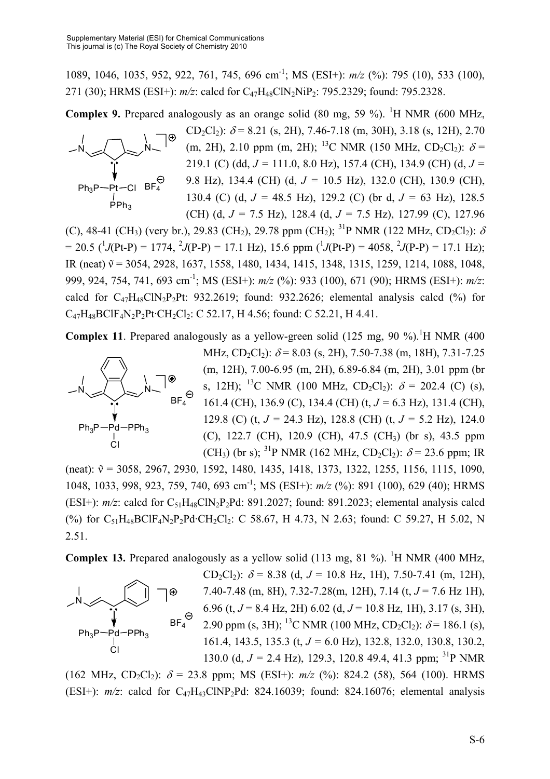1089, 1046, 1035, 952, 922, 761, 745, 696 cm-1; MS (ESI+): *m/z* (%): 795 (10), 533 (100), 271 (30); HRMS (ESI+):  $m/z$ : calcd for C<sub>47</sub>H<sub>48</sub>ClN<sub>2</sub>NiP<sub>2</sub>: 795.2329; found: 795.2328.

**Complex 9.** Prepared analogously as an orange solid (80 mg, 59 %). <sup>1</sup>H NMR (600 MHz,



CD<sub>2</sub>Cl<sub>2</sub>):  $\delta$  = 8.21 (s, 2H), 7.46-7.18 (m, 30H), 3.18 (s, 12H), 2.70 (m, 2H), 2.10 ppm (m, 2H); <sup>13</sup>C NMR (150 MHz, CD<sub>2</sub>Cl<sub>2</sub>):  $\delta$  = 219.1 (C) (dd, *J =* 111.0, 8.0 Hz), 157.4 (CH), 134.9 (CH) (d, *J =*  9.8 Hz), 134.4 (CH) (d, *J =* 10.5 Hz), 132.0 (CH), 130.9 (CH), 130.4 (C) (d, *J =* 48.5 Hz), 129.2 (C) (br d, *J =* 63 Hz), 128.5 (CH) (d, *J =* 7.5 Hz), 128.4 (d, *J =* 7.5 Hz), 127.99 (C), 127.96

(C), 48-41 (CH<sub>3</sub>) (very br.), 29.83 (CH<sub>2</sub>), 29.78 ppm (CH<sub>2</sub>); <sup>31</sup>P NMR (122 MHz, CD<sub>2</sub>Cl<sub>2</sub>):  $\delta$  $= 20.5$  ( $^{1}$ *J*(Pt-P) = 1774,  $^{2}$ *J*(P-P) = 17.1 Hz), 15.6 ppm ( $^{1}$ *J*(Pt-P) = 4058,  $^{2}$ *J*(P-P) = 17.1 Hz); IR (neat)  $\tilde{v} = 3054, 2928, 1637, 1558, 1480, 1434, 1415, 1348, 1315, 1259, 1214, 1088, 1048,$ 999, 924, 754, 741, 693 cm-1; MS (ESI+): *m/z* (%): 933 (100), 671 (90); HRMS (ESI+): *m/z*: calcd for  $C_{47}H_{48}C\cdot N_2P_2Pt$ : 932.2619; found: 932.2626; elemental analysis calcd (%) for C47H48BClF4N2P2Pt·CH2Cl2: C 52.17, H 4.56; found: C 52.21, H 4.41.

**Complex 11**. Prepared analogously as a yellow-green solid  $(125 \text{ mg}, 90 \text{ %})$ .<sup>1</sup>H NMR  $(400 \text{ F})$ 



MHz, CD<sub>2</sub>Cl<sub>2</sub>):  $\delta$  = 8.03 (s, 2H), 7.50-7.38 (m, 18H), 7.31-7.25 (m, 12H), 7.00-6.95 (m, 2H), 6.89-6.84 (m, 2H), 3.01 ppm (br s, 12H); <sup>13</sup>C NMR (100 MHz, CD<sub>2</sub>Cl<sub>2</sub>):  $\delta$  = 202.4 (C) (s), 161.4 (CH), 136.9 (C), 134.4 (CH) (t, *J =* 6.3 Hz), 131.4 (CH), 129.8 (C) (t, *J =* 24.3 Hz), 128.8 (CH) (t, *J =* 5.2 Hz), 124.0 (C), 122.7 (CH), 120.9 (CH), 47.5 (CH3) (br s), 43.5 ppm (CH<sub>3</sub>) (br s); <sup>31</sup>P NMR (162 MHz, CD<sub>2</sub>Cl<sub>2</sub>):  $\delta$  = 23.6 ppm; IR

(neat):  $\tilde{v} = 3058, 2967, 2930, 1592, 1480, 1435, 1418, 1373, 1322, 1255, 1156, 1115, 1090,$ 1048, 1033, 998, 923, 759, 740, 693 cm-1; MS (ESI+): *m/z* (%): 891 (100), 629 (40); HRMS (ESI+):  $m/z$ : calcd for  $C_{51}H_{48}C\cdot N_2P_2Pd$ : 891.2027; found: 891.2023; elemental analysis calcd (%) for  $C_{51}H_{48}BCIF_4N_2P_2Pd \cdot CH_2Cl_2$ : C 58.67, H 4.73, N 2.63; found: C 59.27, H 5.02, N 2.51.

**Complex 13.** Prepared analogously as a yellow solid  $(113 \text{ mg}, 81 \text{ %})$ . <sup>1</sup>H NMR  $(400 \text{ MHz},$ 



CD<sub>2</sub>Cl<sub>2</sub>):  $\delta$  = 8.38 (d, J = 10.8 Hz, 1H), 7.50-7.41 (m, 12H), 7.40-7.48 (m, 8H), 7.32-7.28(m, 12H), 7.14 (t, *J* = 7.6 Hz 1H), 6.96 (t, *J* = 8.4 Hz, 2H) 6.02 (d, *J* = 10.8 Hz, 1H), 3.17 (s, 3H), 2.90 ppm (s, 3H); <sup>13</sup>C NMR (100 MHz, CD<sub>2</sub>Cl<sub>2</sub>):  $\delta$  = 186.1 (s), 161.4, 143.5, 135.3 (t, *J =* 6.0 Hz), 132.8, 132.0, 130.8, 130.2, 130.0 (d,  $J = 2.4$  Hz), 129.3, 120.8 49.4, 41.3 ppm; <sup>31</sup>P NMR

(162 MHz, CD<sub>2</sub>Cl<sub>2</sub>):  $\delta$  = 23.8 ppm; MS (ESI+):  $m/z$  (%): 824.2 (58), 564 (100). HRMS (ESI+):  $m/z$ : calcd for C<sub>47</sub>H<sub>43</sub>ClNP<sub>2</sub>Pd: 824.16039; found: 824.16076; elemental analysis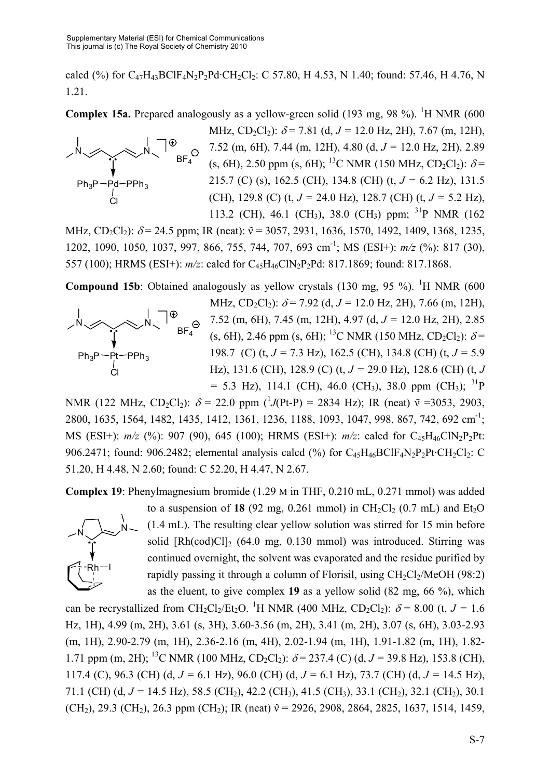calcd (%) for  $C_{47}H_{43}BCIF_{4}N_{2}P_{2}Pd \cdot CH_{2}Cl_{2}$ : C 57.80, H 4.53, N 1.40; found: 57.46, H 4.76, N 1.21.

**Complex 15a.** Prepared analogously as a yellow-green solid  $(193 \text{ mg}, 98 \text{ %})$ . <sup>1</sup>H NMR  $(600 \text{ Hz})$ 



MHz, CD<sub>2</sub>Cl<sub>2</sub>):  $\delta$  = 7.81 (d, J = 12.0 Hz, 2H), 7.67 (m, 12H), 7.52 (m, 6H), 7.44 (m, 12H), 4.80 (d, *J =* 12.0 Hz, 2H), 2.89 (s, 6H), 2.50 ppm (s, 6H); <sup>13</sup>C NMR (150 MHz, CD<sub>2</sub>Cl<sub>2</sub>):  $\delta$  = 215.7 (C) (s), 162.5 (CH), 134.8 (CH) (t, *J =* 6.2 Hz), 131.5 (CH), 129.8 (C) (t, *J =* 24.0 Hz), 128.7 (CH) (t, *J =* 5.2 Hz), 113.2 (CH), 46.1 (CH<sub>3</sub>), 38.0 (CH<sub>3</sub>) ppm; <sup>31</sup>P NMR (162)

MHz, CD<sub>2</sub>Cl<sub>2</sub>):  $\delta$  = 24.5 ppm; IR (neat):  $\tilde{v}$  = 3057, 2931, 1636, 1570, 1492, 1409, 1368, 1235, 1202, 1090, 1050, 1037, 997, 866, 755, 744, 707, 693 cm-1; MS (ESI+): *m/z* (%): 817 (30), 557 (100); HRMS (ESI+):  $m/z$ : calcd for C<sub>45</sub>H<sub>46</sub>ClN<sub>2</sub>P<sub>2</sub>Pd: 817.1869; found: 817.1868.

**Compound 15b**: Obtained analogously as yellow crystals  $(130 \text{ mg}, 95 \text{ %})$ . <sup>1</sup>H NMR  $(600 \text{$ 



MHz, CD<sub>2</sub>Cl<sub>2</sub>):  $\delta$  = 7.92 (d, J = 12.0 Hz, 2H), 7.66 (m, 12H), 7.52 (m, 6H), 7.45 (m, 12H), 4.97 (d, *J =* 12.0 Hz, 2H), 2.85 (s, 6H), 2.46 ppm (s, 6H); <sup>13</sup>C NMR (150 MHz, CD<sub>2</sub>Cl<sub>2</sub>):  $\delta$  = 198.7 (C) (t, *J =* 7.3 Hz), 162.5 (CH), 134.8 (CH) (t, *J =* 5.9 Hz), 131.6 (CH), 128.9 (C) (t, *J =* 29.0 Hz), 128.6 (CH) (t, *J*   $= 5.3$  Hz), 114.1 (CH), 46.0 (CH<sub>3</sub>), 38.0 ppm (CH<sub>3</sub>); <sup>31</sup>P

NMR (122 MHz, CD<sub>2</sub>Cl<sub>2</sub>):  $\delta$  = 22.0 ppm (<sup>1</sup>J(Pt-P) = 2834 Hz); IR (neat)  $\tilde{v}$  =3053, 2903, 2800, 1635, 1564, 1482, 1435, 1412, 1361, 1236, 1188, 1093, 1047, 998, 867, 742, 692 cm-1; MS (ESI+):  $m/z$  (%): 907 (90), 645 (100); HRMS (ESI+):  $m/z$ : calcd for C<sub>45</sub>H<sub>46</sub>ClN<sub>2</sub>P<sub>2</sub>Pt: 906.2471; found: 906.2482; elemental analysis calcd  $(\%)$  for  $C_{45}H_{46}BCIF_4N_2P_2Pt \cdot CH_2Cl_2$ : C 51.20, H 4.48, N 2.60; found: C 52.20, H 4.47, N 2.67.

**Complex 19**: Phenylmagnesium bromide (1.29 M in THF, 0.210 mL, 0.271 mmol) was added



to a suspension of **18** (92 mg, 0.261 mmol) in  $CH_2Cl_2$  (0.7 mL) and  $Et_2O$ (1.4 mL). The resulting clear yellow solution was stirred for 15 min before solid  $[Rh(cod)Cl]$ <sup>2</sup> (64.0 mg, 0.130 mmol) was introduced. Stirring was continued overnight, the solvent was evaporated and the residue purified by rapidly passing it through a column of Florisil, using  $CH_2Cl_2/MeOH$  (98:2) as the eluent, to give complex **19** as a yellow solid (82 mg, 66 %), which

can be recrystallized from CH<sub>2</sub>Cl<sub>2</sub>/Et<sub>2</sub>O.<sup>1</sup>H NMR (400 MHz, CD<sub>2</sub>Cl<sub>2</sub>):  $\delta$  = 8.00 (t, *J* = 1.6 Hz, 1H), 4.99 (m, 2H), 3.61 (s, 3H), 3.60-3.56 (m, 2H), 3.41 (m, 2H), 3.07 (s, 6H), 3.03-2.93 (m, 1H), 2.90-2.79 (m, 1H), 2.36-2.16 (m, 4H), 2.02-1.94 (m, 1H), 1.91-1.82 (m, 1H), 1.82- 1.71 ppm (m, 2H); <sup>13</sup>C NMR (100 MHz, CD<sub>2</sub>Cl<sub>2</sub>):  $\delta$  = 237.4 (C) (d, J = 39.8 Hz), 153.8 (CH), 117.4 (C), 96.3 (CH) (d, *J =* 6.1 Hz), 96.0 (CH) (d, *J =* 6.1 Hz), 73.7 (CH) (d, *J =* 14.5 Hz), 71.1 (CH) (d, *J* = 14.5 Hz), 58.5 (CH<sub>2</sub>), 42.2 (CH<sub>3</sub>), 41.5 (CH<sub>3</sub>), 33.1 (CH<sub>2</sub>), 32.1 (CH<sub>2</sub>), 30.1 (CH<sub>2</sub>), 29.3 (CH<sub>2</sub>), 26.3 ppm (CH<sub>2</sub>); IR (neat)  $\tilde{v}$  = 2926, 2908, 2864, 2825, 1637, 1514, 1459,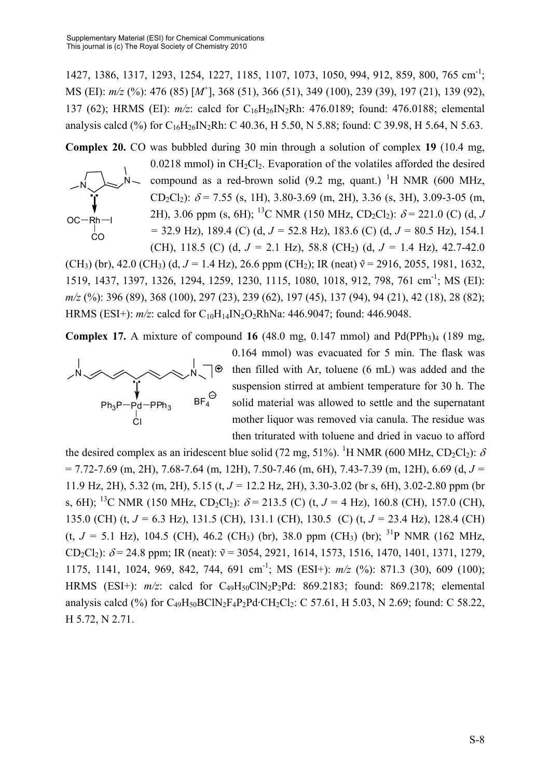1427, 1386, 1317, 1293, 1254, 1227, 1185, 1107, 1073, 1050, 994, 912, 859, 800, 765 cm-1; MS (EI): *m/z* (%): 476 (85) [*M*<sup>+</sup> ], 368 (51), 366 (51), 349 (100), 239 (39), 197 (21), 139 (92), 137 (62); HRMS (EI): *m/z*: calcd for C16H26IN2Rh: 476.0189; found: 476.0188; elemental analysis calcd (%) for  $C_{16}H_{26}IN_2Rh$ : C 40.36, H 5.50, N 5.88; found: C 39.98, H 5.64, N 5.63.

**Complex 20.** CO was bubbled during 30 min through a solution of complex **19** (10.4 mg,  $0.0218$  mmol) in CH<sub>2</sub>Cl<sub>2</sub>. Evaporation of the volatiles afforded the desired compound as a red-brown solid  $(9.2 \text{ mg}, \text{ quant.})$  <sup>1</sup>H NMR (600 MHz, CD<sub>2</sub>Cl<sub>2</sub>):  $\delta$  = 7.55 (s, 1H), 3.80-3.69 (m, 2H), 3.36 (s, 3H), 3.09-3-05 (m, 2H), 3.06 ppm (s, 6H); <sup>13</sup>C NMR (150 MHz, CD<sub>2</sub>Cl<sub>2</sub>):  $\delta$  = 221.0 (C) (d, *J =* 32.9 Hz), 189.4 (C) (d, *J =* 52.8 Hz), 183.6 (C) (d, *J =* 80.5 Hz), 154.1 (CH), 118.5 (C) (d, *J =* 2.1 Hz), 58.8 (CH2) (d, *J =* 1.4 Hz), 42.7-42.0 N  $OC - Rh -$ CO N

(CH<sub>3</sub>) (br), 42.0 (CH<sub>3</sub>) (d,  $J = 1.4$  Hz), 26.6 ppm (CH<sub>2</sub>); IR (neat)  $\tilde{v} = 2916$ , 2055, 1981, 1632, 1519, 1437, 1397, 1326, 1294, 1259, 1230, 1115, 1080, 1018, 912, 798, 761 cm-1; MS (EI): *m/z* (%): 396 (89), 368 (100), 297 (23), 239 (62), 197 (45), 137 (94), 94 (21), 42 (18), 28 (82); HRMS (ESI+):  $m/z$ : calcd for C<sub>10</sub>H<sub>14</sub>IN<sub>2</sub>O<sub>2</sub>RhNa: 446.9047; found: 446.9048.

**Complex 17.** A mixture of compound 16  $(48.0 \text{ mg}, 0.147 \text{ mmol})$  and  $Pd(PPh<sub>3</sub>)<sub>4</sub> (189 mg,$ 



0.164 mmol) was evacuated for 5 min. The flask was then filled with Ar, toluene (6 mL) was added and the suspension stirred at ambient temperature for 30 h. The solid material was allowed to settle and the supernatant mother liquor was removed via canula. The residue was then triturated with toluene and dried in vacuo to afford

the desired complex as an iridescent blue solid (72 mg, 51%). <sup>1</sup>H NMR (600 MHz, CD<sub>2</sub>Cl<sub>2</sub>):  $\delta$ = 7.72-7.69 (m, 2H), 7.68-7.64 (m, 12H), 7.50-7.46 (m, 6H), 7.43-7.39 (m, 12H), 6.69 (d, *J =* 11.9 Hz, 2H), 5.32 (m, 2H), 5.15 (t, *J =* 12.2 Hz, 2H), 3.30-3.02 (br s, 6H), 3.02-2.80 ppm (br s, 6H); <sup>13</sup>C NMR (150 MHz, CD<sub>2</sub>Cl<sub>2</sub>):  $\delta$  = 213.5 (C) (t, J = 4 Hz), 160.8 (CH), 157.0 (CH), 135.0 (CH) (t, *J =* 6.3 Hz), 131.5 (CH), 131.1 (CH), 130.5 (C) (t, *J =* 23.4 Hz), 128.4 (CH) (t,  $J = 5.1$  Hz), 104.5 (CH), 46.2 (CH<sub>3</sub>) (br), 38.0 ppm (CH<sub>3</sub>) (br); <sup>31</sup>P NMR (162 MHz, CD<sub>2</sub>Cl<sub>2</sub>):  $\delta$  = 24.8 ppm; IR (neat):  $\tilde{v}$  = 3054, 2921, 1614, 1573, 1516, 1470, 1401, 1371, 1279, 1175, 1141, 1024, 969, 842, 744, 691 cm-1; MS (ESI+): *m/z* (%): 871.3 (30), 609 (100); HRMS (ESI+):  $m/z$ : calcd for C<sub>49</sub>H<sub>50</sub>ClN<sub>2</sub>P<sub>2</sub>Pd: 869.2183; found: 869.2178; elemental analysis calcd (%) for  $C_{49}H_{50}BCIN_2F_4P_2Pd \cdot CH_2Cl_2$ : C 57.61, H 5.03, N 2.69; found: C 58.22, H 5.72, N 2.71.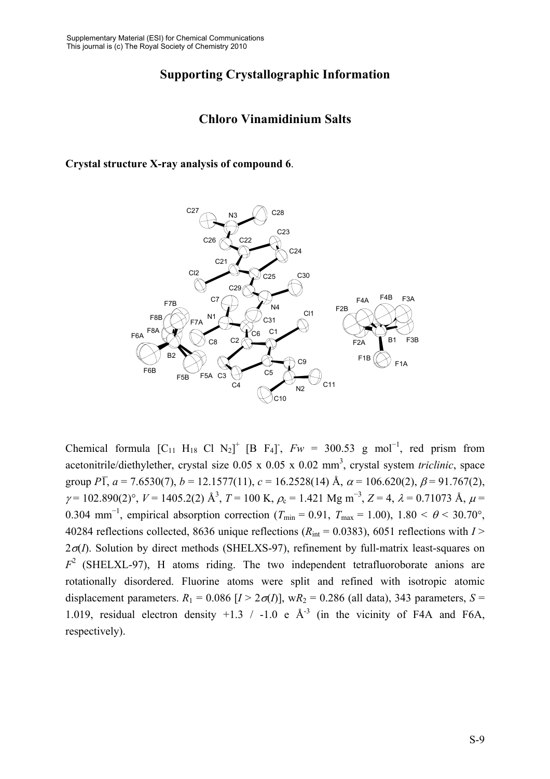# **Supporting Crystallographic Information**

### **Chloro Vinamidinium Salts**

#### **Crystal structure X-ray analysis of compound 6**.



Chemical formula  $[C_{11} H_{18} C1 N_2]^+ [B F_4]^-, F_W = 300.53 \text{ g mol}^{-1}, \text{ red prism from}$ acetonitrile/diethylether, crystal size 0.05 x 0.05 x 0.02 mm<sup>3</sup>, crystal system *triclinic*, space group *P* $\overline{1}$ ,  $a = 7.6530(7)$ ,  $b = 12.1577(11)$ ,  $c = 16.2528(14)$  Å,  $\alpha = 106.620(2)$ ,  $\beta = 91.767(2)$ ,  $\gamma$  = 102.890(2)°, *V* = 1405.2(2) Å<sup>3</sup>, *T* = 100 K,  $\rho_c$  = 1.421 Mg m<sup>-3</sup>, *Z* = 4,  $\lambda$  = 0.71073 Å,  $\mu$  = 0.304 mm<sup>-1</sup>, empirical absorption correction ( $T_{\text{min}} = 0.91$ ,  $T_{\text{max}} = 1.00$ ),  $1.80 < \theta < 30.70^{\circ}$ , 40284 reflections collected, 8636 unique reflections ( $R_{int} = 0.0383$ ), 6051 reflections with  $I >$ 2σ(*I*). Solution by direct methods (SHELXS-97), refinement by full-matrix least-squares on *F*2 (SHELXL-97), H atoms riding. The two independent tetrafluoroborate anions are rotationally disordered. Fluorine atoms were split and refined with isotropic atomic displacement parameters.  $R_1 = 0.086$   $[I > 2\sigma(I)]$ , w $R_2 = 0.286$  (all data), 343 parameters,  $S =$ 1.019, residual electron density  $+1.3$  / -1.0 e  $\AA$ <sup>-3</sup> (in the vicinity of F4A and F6A, respectively).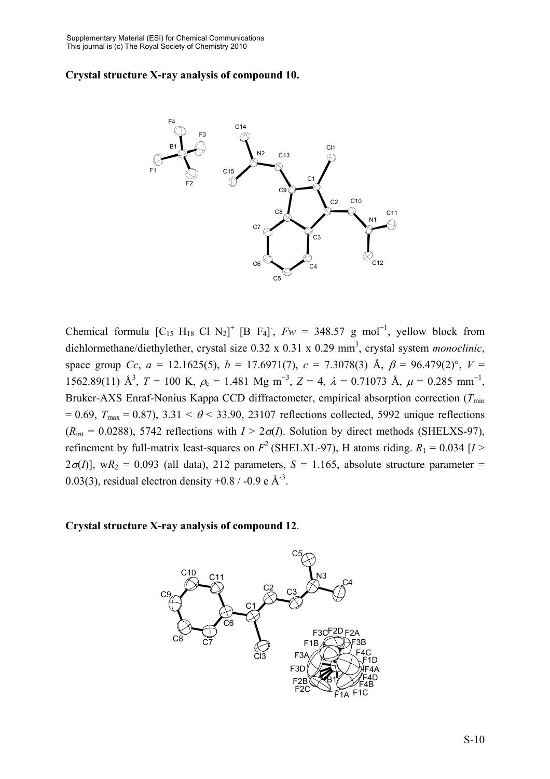#### **Crystal structure X-ray analysis of compound 10.**



Chemical formula  $[C_{15} H_{18} C l N_2]^+ [B F_4]$ ,  $Fw = 348.57$  g mol<sup>-1</sup>, yellow block from dichlormethane/diethylether, crystal size 0.32 x 0.31 x 0.29 mm<sup>3</sup>, crystal system *monoclinic*, space group *Cc*,  $a = 12.1625(5)$ ,  $b = 17.6971(7)$ ,  $c = 7.3078(3)$  Å,  $\beta = 96.479(2)$ °,  $V =$ 1562.89(11) Å<sup>3</sup>,  $T = 100$  K,  $\rho_c = 1.481$  Mg m<sup>-3</sup>,  $Z = 4$ ,  $\lambda = 0.71073$  Å,  $\mu = 0.285$  mm<sup>-1</sup>, Bruker-AXS Enraf-Nonius Kappa CCD diffractometer, empirical absorption correction (*T*<sub>min</sub>)  $= 0.69$ ,  $T_{\text{max}} = 0.87$ ),  $3.31 < \theta < 33.90$ , 23107 reflections collected, 5992 unique reflections  $(R_{\text{int}} = 0.0288)$ , 5742 reflections with  $I > 2\sigma(I)$ . Solution by direct methods (SHELXS-97), refinement by full-matrix least-squares on  $F^2$  (SHELXL-97), H atoms riding.  $R_1 = 0.034$  [*I* >  $2\sigma(I)$ ], w $R_2 = 0.093$  (all data), 212 parameters,  $S = 1.165$ , absolute structure parameter = 0.03(3), residual electron density +0.8 / -0.9 e  $\AA$ <sup>-3</sup>.

**Crystal structure X-ray analysis of compound 12**.

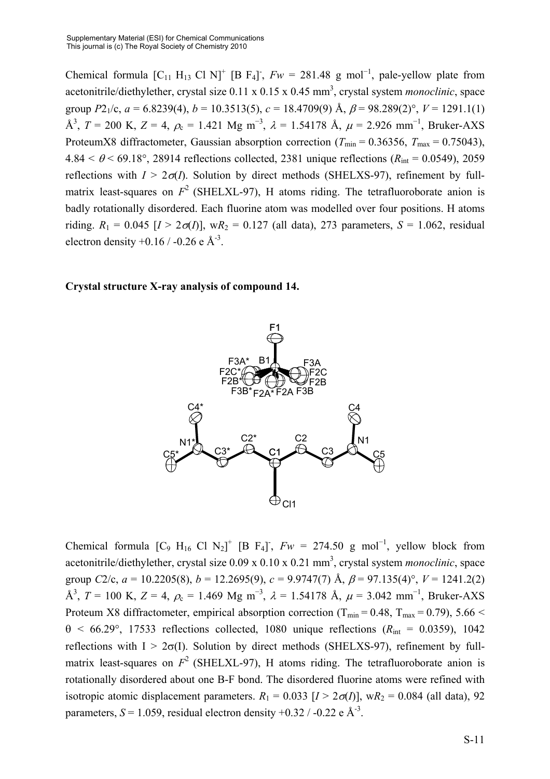Chemical formula  $[C_{11} H_{13} C1 N]^+$  [B F<sub>4</sub>],  $Fw = 281.48$  g mol<sup>-1</sup>, pale-yellow plate from acetonitrile/diethylether, crystal size 0.11 x 0.15 x 0.45 mm<sup>3</sup>, crystal system *monoclinic*, space group  $P2_1/c$ ,  $a = 6.8239(4)$ ,  $b = 10.3513(5)$ ,  $c = 18.4709(9)$  Å,  $\beta = 98.289(2)$ °,  $V = 1291.1(1)$ Å<sup>3</sup>, *T* = 200 K, *Z* = 4,  $\rho_c$  = 1.421 Mg m<sup>-3</sup>,  $\lambda$  = 1.54178 Å,  $\mu$  = 2.926 mm<sup>-1</sup>, Bruker-AXS ProteumX8 diffractometer, Gaussian absorption correction ( $T_{\text{min}} = 0.36356$ ,  $T_{\text{max}} = 0.75043$ ),  $4.84 < \theta < 69.18^{\circ}$ , 28914 reflections collected, 2381 unique reflections ( $R_{\text{int}} = 0.0549$ ), 2059 reflections with  $I > 2\sigma(I)$ . Solution by direct methods (SHELXS-97), refinement by fullmatrix least-squares on  $F^2$  (SHELXL-97), H atoms riding. The tetrafluoroborate anion is badly rotationally disordered. Each fluorine atom was modelled over four positions. H atoms riding.  $R_1 = 0.045$  [ $I > 2\sigma(I)$ ], w $R_2 = 0.127$  (all data), 273 parameters,  $S = 1.062$ , residual electron density  $+0.16 / -0.26$  e Å<sup>-3</sup>.

#### **Crystal structure X-ray analysis of compound 14.**



Chemical formula [C<sub>9</sub> H<sub>16</sub> Cl N<sub>2</sub>]<sup>+</sup> [B F<sub>4</sub>]<sup>-</sup>,  $Fw = 274.50$  g mol<sup>-1</sup>, yellow block from acetonitrile/diethylether, crystal size 0.09 x 0.10 x 0.21 mm<sup>3</sup>, crystal system *monoclinic*, space group *C*2/c,  $a = 10.2205(8)$ ,  $b = 12.2695(9)$ ,  $c = 9.9747(7)$  Å,  $\beta = 97.135(4)$ °,  $V = 1241.2(2)$ Å<sup>3</sup>, *T* = 100 K, *Z* = 4,  $\rho_c$  = 1.469 Mg m<sup>-3</sup>,  $\lambda$  = 1.54178 Å,  $\mu$  = 3.042 mm<sup>-1</sup>, Bruker-AXS Proteum X8 diffractometer, empirical absorption correction ( $T_{min} = 0.48$ ,  $T_{max} = 0.79$ ), 5.66 <  $\theta$  < 66.29°, 17533 reflections collected, 1080 unique reflections ( $R_{int}$  = 0.0359), 1042 reflections with  $I > 2\sigma(I)$ . Solution by direct methods (SHELXS-97), refinement by fullmatrix least-squares on  $F^2$  (SHELXL-97), H atoms riding. The tetrafluoroborate anion is rotationally disordered about one B-F bond. The disordered fluorine atoms were refined with isotropic atomic displacement parameters.  $R_1 = 0.033$   $[I > 2\sigma(I)]$ , w $R_2 = 0.084$  (all data), 92 parameters,  $S = 1.059$ , residual electron density +0.32 / -0.22 e Å<sup>-3</sup>.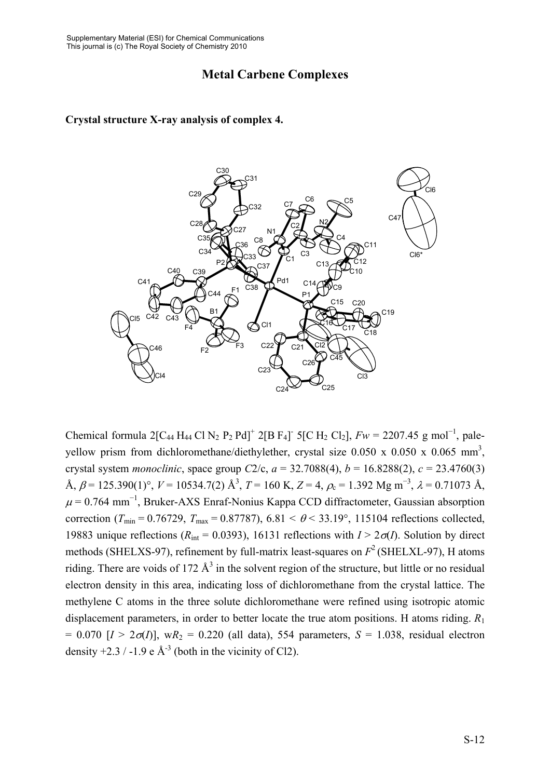# **Metal Carbene Complexes**

#### **Crystal structure X-ray analysis of complex 4.**



Chemical formula 2[C<sub>44</sub> H<sub>44</sub> Cl N<sub>2</sub> P<sub>2</sub> Pd]<sup>+</sup> 2[B F<sub>4</sub>]<sup>-</sup> 5[C H<sub>2</sub> Cl<sub>2</sub>],  $Fw = 2207.45$  g mol<sup>-1</sup>, paleyellow prism from dichloromethane/diethylether, crystal size  $0.050 \times 0.050 \times 0.065$  mm<sup>3</sup>, crystal system *monoclinic*, space group *C*2/c,  $a = 32.7088(4)$ ,  $b = 16.8288(2)$ ,  $c = 23.4760(3)$ Å,  $\beta$  = 125.390(1)°,  $V$  = 10534.7(2) Å<sup>3</sup>, T = 160 K, Z = 4,  $\rho_c$  = 1.392 Mg m<sup>-3</sup>,  $\lambda$  = 0.71073 Å,  $\mu$  = 0.764 mm<sup>-1</sup>, Bruker-AXS Enraf-Nonius Kappa CCD diffractometer, Gaussian absorption correction ( $T_{\text{min}}$  = 0.76729,  $T_{\text{max}}$  = 0.87787), 6.81 <  $\theta$  < 33.19°, 115104 reflections collected, 19883 unique reflections ( $R_{\text{int}} = 0.0393$ ), 16131 reflections with  $I > 2\sigma(I)$ . Solution by direct methods (SHELXS-97), refinement by full-matrix least-squares on  $F^2$  (SHELXL-97), H atoms riding. There are voids of 172  $\mathring{A}^3$  in the solvent region of the structure, but little or no residual electron density in this area, indicating loss of dichloromethane from the crystal lattice. The methylene C atoms in the three solute dichloromethane were refined using isotropic atomic displacement parameters, in order to better locate the true atom positions. H atoms riding. *R*<sup>1</sup>  $= 0.070$  [ $I > 2\sigma(I)$ ], w $R_2 = 0.220$  (all data), 554 parameters,  $S = 1.038$ , residual electron density  $+2.3 / -1.9 e \text{ Å}^3$  (both in the vicinity of Cl2).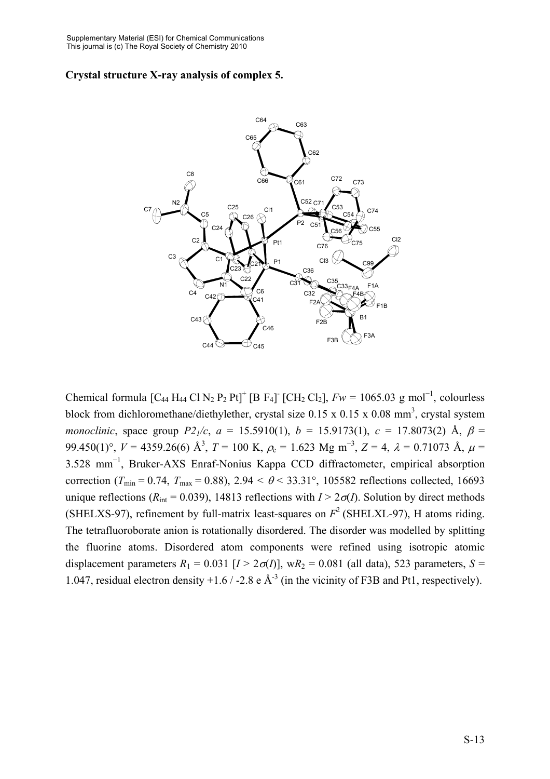#### **Crystal structure X-ray analysis of complex 5.**



Chemical formula  $[C_{44} H_{44} C N_2 P_2 Pt]^+$  [B F<sub>4</sub>] [CH<sub>2</sub> Cl<sub>2</sub>],  $F_W = 1065.03$  g mol<sup>-1</sup>, colourless block from dichloromethane/diethylether, crystal size  $0.15 \times 0.15 \times 0.08$  mm<sup>3</sup>, crystal system *monoclinic*, space group  $P2_1/c$ ,  $a = 15.5910(1)$ ,  $b = 15.9173(1)$ ,  $c = 17.8073(2)$  Å,  $\beta =$ 99.450(1)°,  $V = 4359.26(6)$  Å<sup>3</sup>,  $T = 100$  K,  $\rho_c = 1.623$  Mg m<sup>-3</sup>,  $Z = 4$ ,  $\lambda = 0.71073$  Å,  $\mu =$ 3.528 mm<sup>−</sup><sup>1</sup> , Bruker-AXS Enraf-Nonius Kappa CCD diffractometer, empirical absorption correction ( $T_{\text{min}} = 0.74$ ,  $T_{\text{max}} = 0.88$ ), 2.94 <  $\theta$  < 33.31°, 105582 reflections collected, 16693 unique reflections ( $R_{\text{int}} = 0.039$ ), 14813 reflections with  $I > 2\sigma(I)$ . Solution by direct methods (SHELXS-97), refinement by full-matrix least-squares on  $F^2$  (SHELXL-97), H atoms riding. The tetrafluoroborate anion is rotationally disordered. The disorder was modelled by splitting the fluorine atoms. Disordered atom components were refined using isotropic atomic displacement parameters  $R_1 = 0.031$  [ $I > 2\sigma(I)$ ], w $R_2 = 0.081$  (all data), 523 parameters,  $S =$ 1.047, residual electron density +1.6 / -2.8 e  $\AA$ <sup>-3</sup> (in the vicinity of F3B and Pt1, respectively).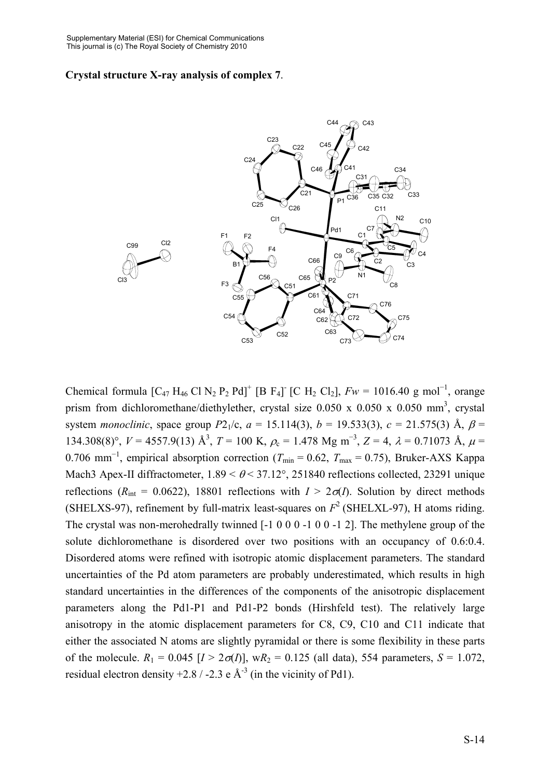#### **Crystal structure X-ray analysis of complex 7**.



Chemical formula  $[C_{47} H_{46} Cl N_2 P_2 Pd]^+$  [B F<sub>4</sub>] [C H<sub>2</sub> Cl<sub>2</sub>],  $Fw = 1016.40$  g mol<sup>-1</sup>, orange prism from dichloromethane/diethylether, crystal size  $0.050 \times 0.050 \times 0.050$  mm<sup>3</sup>, crystal system *monoclinic*, space group  $P2_1/c$ ,  $a = 15.114(3)$ ,  $b = 19.533(3)$ ,  $c = 21.575(3)$  Å,  $\beta =$ 134.308(8)°,  $V = 4557.9(13)$  Å<sup>3</sup>,  $T = 100$  K,  $\rho_c = 1.478$  Mg m<sup>-3</sup>,  $Z = 4$ ,  $\lambda = 0.71073$  Å,  $\mu =$ 0.706 mm<sup>-1</sup>, empirical absorption correction ( $T_{\text{min}} = 0.62$ ,  $T_{\text{max}} = 0.75$ ), Bruker-AXS Kappa Mach3 Apex-II diffractometer,  $1.89 \le \theta \le 37.12^{\circ}$ , 251840 reflections collected, 23291 unique reflections ( $R_{\text{int}} = 0.0622$ ), 18801 reflections with  $I > 2\sigma(I)$ . Solution by direct methods (SHELXS-97), refinement by full-matrix least-squares on  $F^2$  (SHELXL-97), H atoms riding. The crystal was non-merohedrally twinned [-1 0 0 0 -1 0 0 -1 2]. The methylene group of the solute dichloromethane is disordered over two positions with an occupancy of 0.6:0.4. Disordered atoms were refined with isotropic atomic displacement parameters. The standard uncertainties of the Pd atom parameters are probably underestimated, which results in high standard uncertainties in the differences of the components of the anisotropic displacement parameters along the Pd1-P1 and Pd1-P2 bonds (Hirshfeld test). The relatively large anisotropy in the atomic displacement parameters for C8, C9, C10 and C11 indicate that either the associated N atoms are slightly pyramidal or there is some flexibility in these parts of the molecule.  $R_1 = 0.045$  [ $I > 2\sigma(I)$ ], w $R_2 = 0.125$  (all data), 554 parameters,  $S = 1.072$ , residual electron density +2.8 / -2.3 e  $\AA$ <sup>-3</sup> (in the vicinity of Pd1).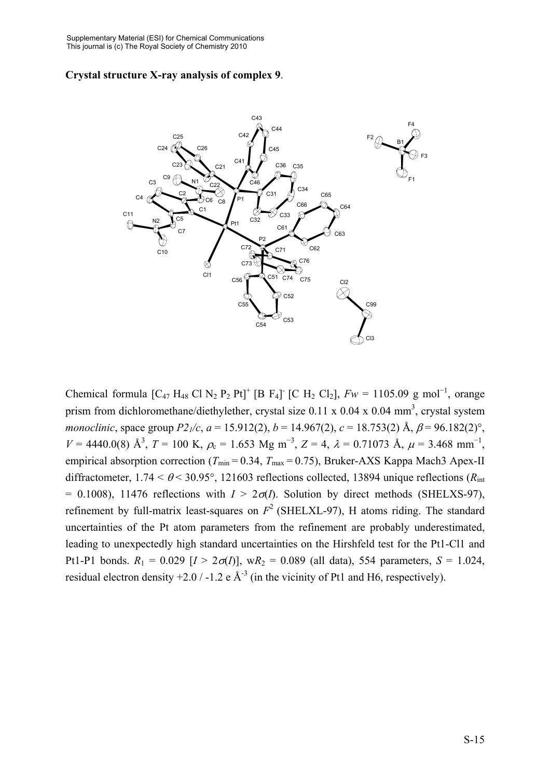#### **Crystal structure X-ray analysis of complex 9**.



Chemical formula  $[C_{47} H_{48} C1 N_2 P_2 Pt]^+$  [B F<sub>4</sub>] [C H<sub>2</sub> Cl<sub>2</sub>],  $F_W = 1105.09$  g mol<sup>-1</sup>, orange prism from dichloromethane/diethylether, crystal size  $0.11 \times 0.04 \times 0.04$  mm<sup>3</sup>, crystal system *monoclinic*, space group  $P2_1/c$ ,  $a = 15.912(2)$ ,  $b = 14.967(2)$ ,  $c = 18.753(2)$  Å,  $\beta = 96.182(2)$ °,  $V = 4440.0(8)$  Å<sup>3</sup>,  $T = 100$  K,  $\rho_c = 1.653$  Mg m<sup>-3</sup>,  $Z = 4$ ,  $\lambda = 0.71073$  Å,  $\mu = 3.468$  mm<sup>-1</sup>, empirical absorption correction ( $T_{\text{min}} = 0.34$ ,  $T_{\text{max}} = 0.75$ ), Bruker-AXS Kappa Mach3 Apex-II diffractometer,  $1.74 < \theta < 30.95^{\circ}$ , 121603 reflections collected, 13894 unique reflections ( $R_{\text{int}}$ )  $= 0.1008$ ), 11476 reflections with  $I > 2\sigma(I)$ . Solution by direct methods (SHELXS-97), refinement by full-matrix least-squares on  $F^2$  (SHELXL-97), H atoms riding. The standard uncertainties of the Pt atom parameters from the refinement are probably underestimated, leading to unexpectedly high standard uncertainties on the Hirshfeld test for the Pt1-Cl1 and Pt1-P1 bonds.  $R_1 = 0.029$  [ $I > 2\sigma(I)$ ], w $R_2 = 0.089$  (all data), 554 parameters,  $S = 1.024$ , residual electron density  $+2.0 / -1.2$  e Å<sup>-3</sup> (in the vicinity of Pt1 and H6, respectively).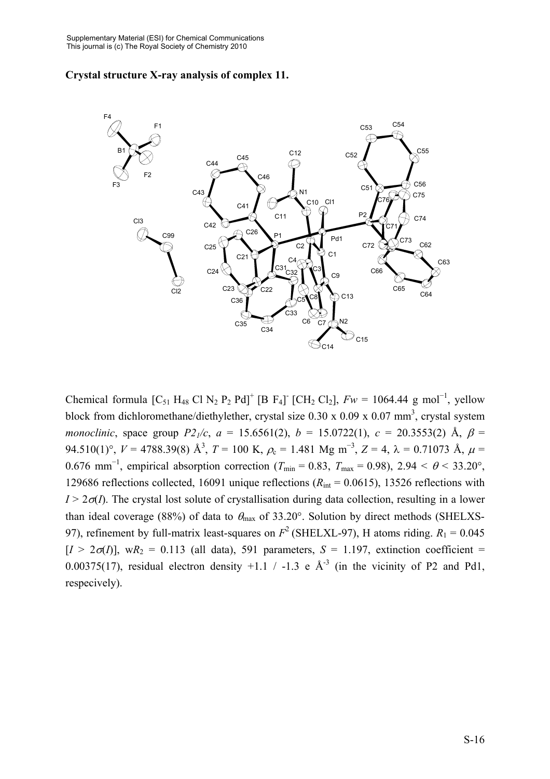#### **Crystal structure X-ray analysis of complex 11.**



Chemical formula  $[C_{51} H_{48} C1 N_2 P_2 Pd]^+$  [B F<sub>4</sub>] [CH<sub>2</sub> Cl<sub>2</sub>],  $F_W = 1064.44$  g mol<sup>-1</sup>, yellow block from dichloromethane/diethylether, crystal size  $0.30 \times 0.09 \times 0.07$  mm<sup>3</sup>, crystal system *monoclinic*, space group  $P2_1/c$ ,  $a = 15.6561(2)$ ,  $b = 15.0722(1)$ ,  $c = 20.3553(2)$  Å,  $\beta =$ 94.510(1)°,  $V = 4788.39(8)$  Å<sup>3</sup>,  $T = 100$  K,  $\rho_c = 1.481$  Mg m<sup>-3</sup>,  $Z = 4$ ,  $\lambda = 0.71073$  Å,  $\mu =$ 0.676 mm<sup>-1</sup>, empirical absorption correction ( $T_{\text{min}} = 0.83$ ,  $T_{\text{max}} = 0.98$ ), 2.94 <  $\theta$  < 33.20°, 129686 reflections collected, 16091 unique reflections ( $R_{\text{int}} = 0.0615$ ), 13526 reflections with  $I > 2\sigma(I)$ . The crystal lost solute of crystallisation during data collection, resulting in a lower than ideal coverage (88%) of data to  $\theta_{\text{max}}$  of 33.20°. Solution by direct methods (SHELXS-97), refinement by full-matrix least-squares on  $F^2$  (SHELXL-97), H atoms riding.  $R_1 = 0.045$  $[I > 2\sigma(I)]$ , w $R_2 = 0.113$  (all data), 591 parameters,  $S = 1.197$ , extinction coefficient = 0.00375(17), residual electron density  $+1.1$  /  $-1.3$  e  $\mathring{A}^{-3}$  (in the vicinity of P2 and Pd1, respecively).